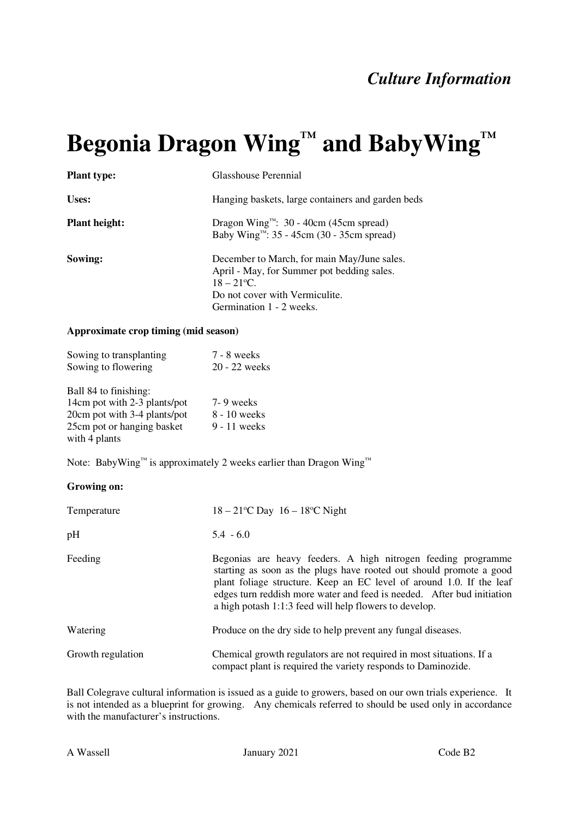## **Begonia Dragon Wing™ and BabyWing™**

| <b>Plant type:</b>   | Glasshouse Perennial                                                                                                                                                                 |
|----------------------|--------------------------------------------------------------------------------------------------------------------------------------------------------------------------------------|
| Uses:                | Hanging baskets, large containers and garden beds                                                                                                                                    |
| <b>Plant height:</b> | Dragon Wing <sup><math>M</math></sup> : 30 - 40cm (45cm spread)<br>Baby Wing <sup>11</sup> : 35 - 45cm (30 - 35cm spread)                                                            |
| Sowing:              | December to March, for main May/June sales.<br>April - May, for Summer pot bedding sales.<br>$18 - 21$ <sup>o</sup> C.<br>Do not cover with Vermiculite.<br>Germination 1 - 2 weeks. |

## **Approximate crop timing (mid season)**

| Sowing to transplanting | 7 - 8 weeks     |
|-------------------------|-----------------|
| Sowing to flowering     | $20 - 22$ weeks |
| Ball 84 to finishing    |                 |

| 14cm pot with 2-3 plants/pot | 7-9 weeks    |
|------------------------------|--------------|
| 20cm pot with 3-4 plants/pot | 8 - 10 weeks |
| 25cm pot or hanging basket   | 9 - 11 weeks |
| with 4 plants                |              |

Note: BabyWing™ is approximately 2 weeks earlier than Dragon Wing™

## **Growing on:**

| Temperature       | $18 - 21^{\circ}$ C Day $16 - 18^{\circ}$ C Night                                                                                                                                                                                                                                                                                               |
|-------------------|-------------------------------------------------------------------------------------------------------------------------------------------------------------------------------------------------------------------------------------------------------------------------------------------------------------------------------------------------|
| pH                | $5.4 - 6.0$                                                                                                                                                                                                                                                                                                                                     |
| Feeding           | Begonias are heavy feeders. A high nitrogen feeding programme<br>starting as soon as the plugs have rooted out should promote a good<br>plant foliage structure. Keep an EC level of around 1.0. If the leaf<br>edges turn reddishmore water and feed is needed. After bud initiation<br>a high potash 1:1:3 feed will help flowers to develop. |
| Watering          | Produce on the dry side to help prevent any fungal diseases.                                                                                                                                                                                                                                                                                    |
| Growth regulation | Chemical growth regulators are not required in most situations. If a<br>compact plant is required the variety responds to Daminozide.                                                                                                                                                                                                           |

Ball Colegrave cultural information is issued as a guide to growers, based on our own trials experience. It is not intended as a blueprint for growing. Any chemicals referred to should be used only in accordance with the manufacturer's instructions.